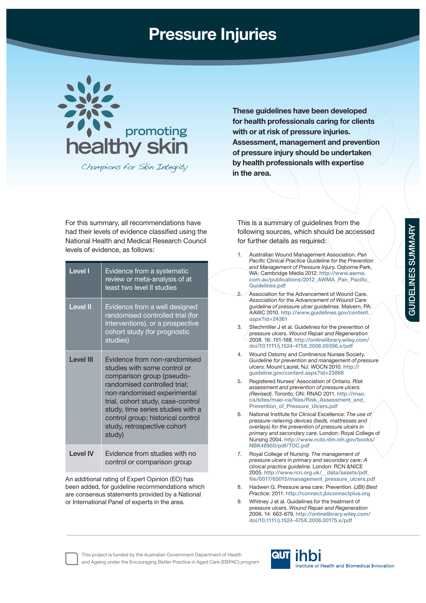## **Pressure Injuries**



Champions for Skin Integrity

**These guidelines have been developed for health professionals caring for clients with or at risk of pressure injuries. Assessment, management and prevention of pressure injury should be undertaken by health professionals with expertise in the area.**

For this summary, all recommendations have had their levels of evidence classified using the National Health and Medical Research Council levels of evidence, as follows:

| Level I         | Evidence from a systematic<br>review or meta-analysis of at<br>least two level II studies                                                                                                                                                                                                                        |
|-----------------|------------------------------------------------------------------------------------------------------------------------------------------------------------------------------------------------------------------------------------------------------------------------------------------------------------------|
| <b>Level II</b> | Evidence from a well designed<br>randomised controlled trial (for<br>interventions), or a prospective<br>cohort study (for prognostic<br>studies)                                                                                                                                                                |
| I evel III      | Evidence from non-randomised<br>studies with some control or<br>comparison group (pseudo-<br>randomised controlled trial;<br>non-randomised experimental<br>trial, cohort study, case-control<br>study, time series studies with a<br>control group; historical control<br>study, retrospective cohort<br>study) |
| I evel IV       | Evidence from studies with no<br>control or comparison group                                                                                                                                                                                                                                                     |

An additional rating of Expert Opinion (EO) has been added, for guideline recommendations which are consensus statements provided by a National or International Panel of experts in the area.

This is a summary of guidelines from the following sources, which should be accessed for further details as required:

- 1. Australian Wound Management Association. *Pan*  **Pacific Clinical Practice Guideline for the Prevention** *and Management of Pressure Injury*. Osborne Park, WA: Cambridge Media 2012. **http://www.awma.** com.au/publications/2012\_AWMA\_Pan\_Pacific **Guidelines.pdf** 2. Association for the Advancement of Wound Care. *Association for the Advancement of Wound Care guideline of pressure ulcer guidelines*. Malvern, PA: AAWC 2010. **http://www.guidelines.gov/content. aspx?id=24361** 3. Stechmiller J et al. Guidelines for the prevention of pressure ulcers. *Wound Repair and Regeneration* 2008. 16: 151-168. **http://onlinelibrary.wiley.com/ doi/10.1111/j.1524-475X.2008.00356.x/pdf** 4. Wound Ostomy and Continence Nurses Society. *Guideline for prevention and management of pressure ulcers*. Mount Laurel, NJ: WOCN 2010. **http:// guideline.gov/content.aspx?id=23868** 5. Registered Nurses' Association of Ontario. *Risk assessment and prevention of pressure ulcers. (Revised)*. Toronto, ON: RNAO 2011. **http://rnao. ca/sites/rnao-ca/fi les/Risk\_Assessment\_and\_ Prevention\_of\_Pressure\_Ulcers.pdf** 6. National Institute for Clinical Excellence. *The use of pressure-relieving devices (beds, mattresses and overlays) for the prevention of pressure ulcers in primary and secondary care*. London: Royal College of Nursing 2004. **http://www.ncbi.nlm.nih.gov/books/ NBK48950/pdf/TOC.pdf** 7. Royal College of Nursing. *The management of pressure ulcers in primary and secondary care: A clinical practice guideline*. London: RCN &NICE 2005. **http://www.rcn.org.uk/\_\_data/assets/pdf\_ fi le/0017/65015/management\_pressure\_ulcers.pdf**
	- 8. Hadwen G. Pressure area care: Prevention. *(JBI) Best Practice:* 2011. **http://connect.jbiconnectplus.org**
	- 9. Whitney J et al. Guidelines for the treatment of pressure ulcers. *Wound Repair and Regeneration* 2006. 14: 663-679. **http://onlinelibrary.wiley.com/ doi/10.1111/j.1524-475X.2006.00175.x/pdf**

This project is funded by the Australian Government Department of Health and Ageing under the Encouraging Better Practice in Aged Care (EBPAC) program

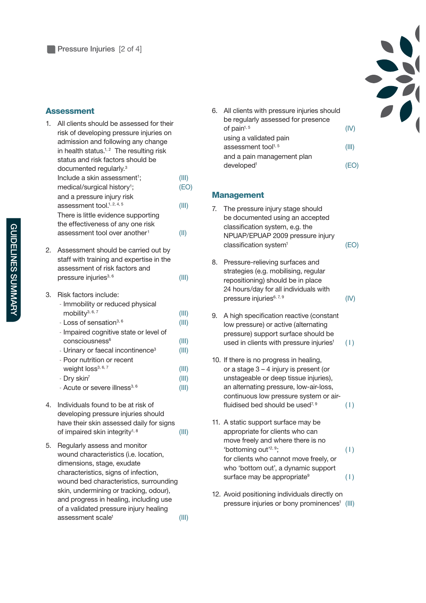## **Assessment**

| 1. | All clients should be assessed for their<br>risk of developing pressure injuries on<br>admission and following any change<br>in health status. <sup>1,2</sup> The resulting risk<br>status and risk factors should be<br>documented regularly. <sup>3</sup>                                                                                                                             |                                                             |
|----|-----------------------------------------------------------------------------------------------------------------------------------------------------------------------------------------------------------------------------------------------------------------------------------------------------------------------------------------------------------------------------------------|-------------------------------------------------------------|
|    | Include a skin assessment <sup>1</sup> ;<br>medical/surgical history <sup>1</sup> ;                                                                                                                                                                                                                                                                                                     | (III)<br>(EO)                                               |
|    | and a pressure injury risk<br>assessment tool. <sup>1, 2, 4, 5</sup><br>There is little evidence supporting                                                                                                                                                                                                                                                                             | (III)                                                       |
|    | the effectiveness of any one risk<br>assessment tool over another <sup>1</sup>                                                                                                                                                                                                                                                                                                          | (II)                                                        |
| 2. | Assessment should be carried out by<br>staff with training and expertise in the<br>assessment of risk factors and<br>pressure injuries <sup>3, 6</sup>                                                                                                                                                                                                                                  | (III)                                                       |
| 3. | Risk factors include:<br>- Immobility or reduced physical<br>mobility $3, 6, 7$<br>- Loss of sensation <sup>3, 6</sup><br>- Impaired cognitive state or level of<br>consciousness <sup>6</sup><br>- Urinary or faecal incontinence <sup>3</sup><br>- Poor nutrition or recent<br>weight loss <sup>3, 6, 7</sup><br>- Dry skin <sup>7</sup><br>- Acute or severe illness <sup>3, 6</sup> | (III)<br>(III)<br>(III)<br>(III)<br>(III)<br>(III)<br>(III) |
| 4. | Individuals found to be at risk of<br>developing pressure injuries should<br>have their skin assessed daily for signs<br>of impaired skin integrity <sup>1, 8</sup>                                                                                                                                                                                                                     | (III)                                                       |
| 5. | Regularly assess and monitor<br>wound characteristics (i.e. location,<br>dimensions, stage, exudate                                                                                                                                                                                                                                                                                     |                                                             |

characteristics, signs of infection, wound bed characteristics, surrounding skin, undermining or tracking, odour), and progress in healing, including use of a validated pressure injury healing assessment scale<sup>1</sup> (III)



## **Management**

7. The pressure injury stage should be documented using an accepted classification system, e.g. the NPUAP/EPUAP 2009 pressure injury  $classification system<sup>1</sup>$  (EO)

- 
- **GUIDELINES SUMMARY GUIDELINES SUMMARY**
- 8. Pressure-relieving surfaces and strategies (e.g. mobilising, regular repositioning) should be in place 24 hours/day for all individuals with pressure injuries $6, 7, 9$  (IV)
- 9. A high specification reactive (constant low pressure) or active (alternating pressure) support surface should be used in clients with pressure injuries $(1)$
- 10. If there is no progress in healing, or a stage 3 – 4 injury is present (or unstageable or deep tissue injuries), an alternating pressure, low-air-loss, continuous low pressure system or airfluidised bed should be used<sup> $7,9$ </sup> (1)
- 11. A static support surface may be appropriate for clients who can move freely and where there is no 'bottoming out<sup>'2, 9</sup>;  $(1)$ for clients who cannot move freely, or who 'bottom out', a dynamic support surface may be appropriate $\binom{9}{1}$
- 12. Avoid positioning individuals directly on pressure injuries or bony prominences<sup>1</sup> (III)

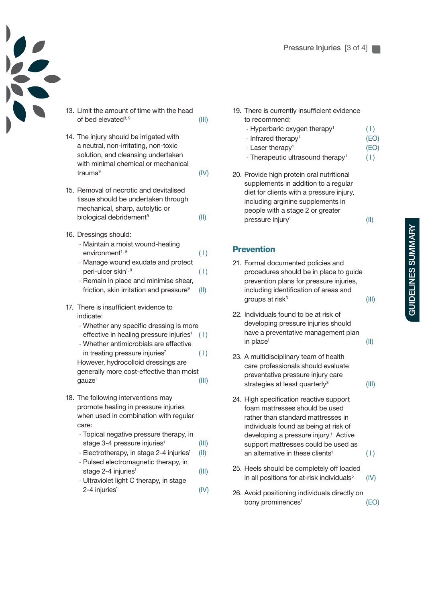

**Pressure Injuries** [3 of 4]

- 13. Limit the amount of time with the head of bed elevated<sup>3, 9</sup> (III)
- 14. The injury should be irrigated with a neutral, non-irritating, non-toxic solution, and cleansing undertaken with minimal chemical or mechanical trauma9 (IV)
- 15. Removal of necrotic and devitalised tissue should be undertaken through mechanical, sharp, autolytic or biological debridement<sup>9</sup> (II)
- 16. Dressings should:
	- Maintain a moist wound-healing  $environment<sup>1, 9</sup>$  (1)
	- Manage wound exudate and protect peri-ulcer skin<sup> $1, 9$ </sup> (1)
	- Remain in place and minimise shear, friction, skin irritation and pressure $9$  (II)
- 17. There is insufficient evidence to indicate:
	- Whether any specific dressing is more effective in healing pressure injuries $(1)$
	- Whether antimicrobials are effective in treating pressure injuries<sup>7</sup>  $(1)$ However, hydrocolloid dressings are generally more cost-effective than moist
	- $g$ auze<sup>1</sup> (III)
- 18. The following interventions may promote healing in pressure injuries when used in combination with regular care:
	- Topical negative pressure therapy, in stage 3-4 pressure injuries<sup>1</sup> (III)
	- Electrotherapy, in stage 2-4 injuries<sup>1</sup> (II)
	- Pulsed electromagnetic therapy, in
	- stage 2-4 injuries<sup>1</sup> (III) - Ultraviolet light C therapy, in stage
	- $2-4$  injuries<sup>1</sup> (IV)
- 19. There is currently insufficient evidence to recommend:
	- Hyperbaric oxygen therapy<sup>1</sup>  $(1)$
	- Infrared therapy<sup>1</sup> (EO)
	- Laser therapy<sup>1</sup> (EO)
	- Therapeutic ultrasound therapy<sup>1</sup>  $(| \rangle$
- 20. Provide high protein oral nutritional supplements in addition to a regular diet for clients with a pressure injury, including arginine supplements in people with a stage 2 or greater pressure injury<sup>1</sup> (II)

## **Prevention**

- 21. Formal documented policies and procedures should be in place to guide prevention plans for pressure injuries, including identification of areas and groups at risk<sup>3</sup>  $(III)$
- 22. Individuals found to be at risk of developing pressure injuries should have a preventative management plan  $\text{in place}^1$  (II)
- 23. A multidisciplinary team of health care professionals should evaluate preventative pressure injury care strategies at least quarterly<sup>3</sup>  $(III)$
- 24. High specification reactive support foam mattresses should be used rather than standard mattresses in individuals found as being at risk of developing a pressure injury.<sup>1</sup> Active support mattresses could be used as an alternative in these clients<sup>1</sup>  $(1)$
- 25. Heels should be completely off loaded in all positions for at-risk individuals $5$  (IV)
- 26. Avoid positioning individuals directly on bony prominences<sup>1</sup> (EO)

**GUIDELINES SUMMARY** GUIDELINES SUMMARY